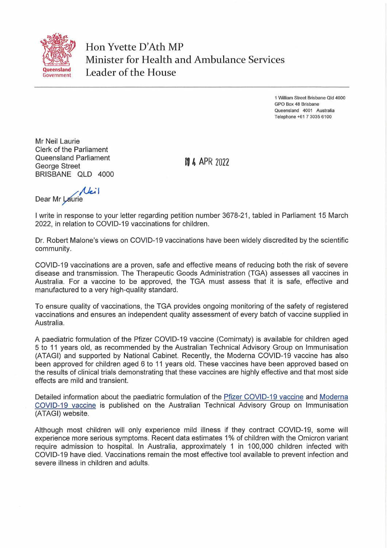

Hon Yvette D'Ath MP Minister for Health and Ambulance Services **Leader of the House** 

> 1 William Street Brisbane Qld 4000 GPO Box 48 Brisbane Queensland 4001 Australia Telephone +61 7 3035 6100

Mr Neil Laurie Clerk of the Parliament Queensland Parliament George Street BRISBANE QLD 4000

**N 4 APR 2022** 

*Neil* Dear Mr Laurie

I write in response to your letter regarding petition number 3678-21, tabled in Parliament 15 March 2022, in relation to COVID-19 vaccinations for children.

Dr. Robert Malone's views on COVID-19 vaccinations have been widely discredited by the scientific community.

COVID-19 vaccinations are a proven, safe and effective means of reducing both the risk of severe disease and transmission. The Therapeutic Goods Administration (TGA) assesses all vaccines in Australia. For a vaccine to be approved, the TGA must assess that it is safe, effective and manufactured to a very high-quality standard.

To ensure quality of vaccinations, the TGA provides ongoing monitoring of the safety of registered vaccinations and ensures an independent quality assessment of every batch of vaccine supplied in Australia.

A paediatric formulation of the Pfizer COVID-19 vaccine (Comirnaty) is available for children aged 5 to 11 years old, as recommended by the Australian Technical Advisory Group on Immunisation (ATAGI) and supported by National Cabinet. Recently, the Moderna COVID-19 vaccine has also been approved for children aged 6 to 11 years old. These vaccines have been approved based on the results of clinical trials demonstrating that these vaccines are highly effective and that most side effects are mild and transient.

Detailed information about the paediatric formulation of the Pfizer COVID-19 vaccine and Moderna COVID-19 vaccine is published on the Australian Technical Advisory Group on Immunisation (ATAGI) website.

Although most children will only experience mild illness if they contract COVID-19, some will experience more serious symptoms. Recent data estimates 1% of children with the Omicron variant require admission to hospital. In Australia, approximately 1 in 100,000 children infected with COVID-19 have died. Vaccinations remain the most effective tool available to prevent infection and severe illness in children and adults.